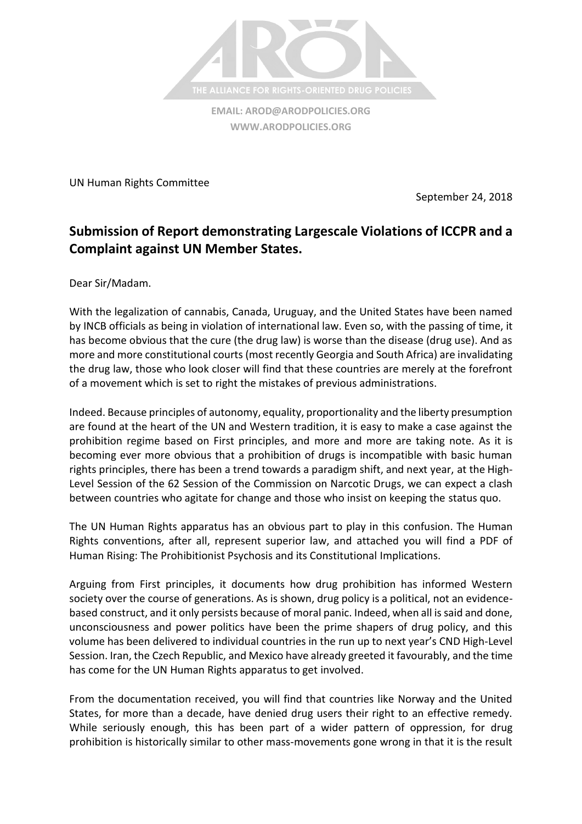

**[WWW.ARODPOLICIES.ORG](http://www.arodpolicies.org/)**

UN Human Rights Committee

September 24, 2018

## **Submission of Report demonstrating Largescale Violations of ICCPR and a Complaint against UN Member States.**

Dear Sir/Madam.

With the legalization of cannabis, Canada, Uruguay, and the United States have been named by INCB officials as being in violation of international law. Even so, with the passing of time, it has become obvious that the cure (the drug law) is worse than the disease (drug use). And as more and more constitutional courts (most recently Georgia and South Africa) are invalidating the drug law, those who look closer will find that these countries are merely at the forefront of a movement which is set to right the mistakes of previous administrations.

Indeed. Because principles of autonomy, equality, proportionality and the liberty presumption are found at the heart of the UN and Western tradition, it is easy to make a case against the prohibition regime based on First principles, and more and more are taking note. As it is becoming ever more obvious that a prohibition of drugs is incompatible with basic human rights principles, there has been a trend towards a paradigm shift, and next year, at the High-Level Session of the 62 Session of the Commission on Narcotic Drugs, we can expect a clash between countries who agitate for change and those who insist on keeping the status quo.

The UN Human Rights apparatus has an obvious part to play in this confusion. The Human Rights conventions, after all, represent superior law, and attached you will find a PDF of Human Rising: The Prohibitionist Psychosis and its Constitutional Implications.

Arguing from First principles, it documents how drug prohibition has informed Western society over the course of generations. As is shown, drug policy is a political, not an evidencebased construct, and it only persists because of moral panic. Indeed, when all is said and done, unconsciousness and power politics have been the prime shapers of drug policy, and this volume has been delivered to individual countries in the run up to next year's CND High-Level Session. Iran, the Czech Republic, and Mexico have already greeted it favourably, and the time has come for the UN Human Rights apparatus to get involved.

From the documentation received, you will find that countries like Norway and the United States, for more than a decade, have denied drug users their right to an effective remedy. While seriously enough, this has been part of a wider pattern of oppression, for drug prohibition is historically similar to other mass-movements gone wrong in that it is the result